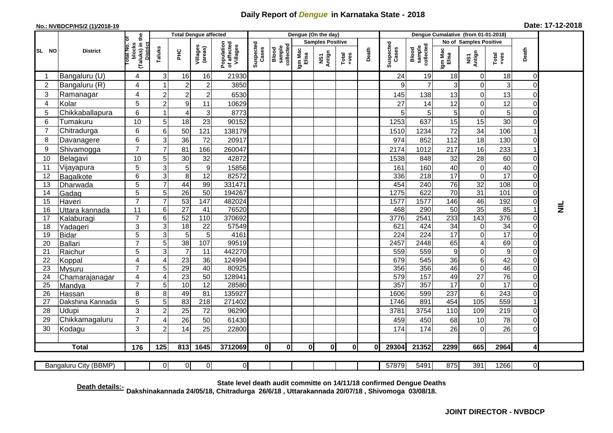## **Daily Report of** *Dengue* **in Karnataka State - 2018**

## **No.: NVBDCP/HS/2 (1)/2018-19 Date: 17-12-2018**

|                                                                                                                               | <b>District</b>  |                                                       | <b>Total Dengue affected</b> |                                   |                     |                                       |                    |                              |                         | Dengue (On the day) |                  |       |                    |                              |                        |                         |                      |                            |           |
|-------------------------------------------------------------------------------------------------------------------------------|------------------|-------------------------------------------------------|------------------------------|-----------------------------------|---------------------|---------------------------------------|--------------------|------------------------------|-------------------------|---------------------|------------------|-------|--------------------|------------------------------|------------------------|-------------------------|----------------------|----------------------------|-----------|
| SL NO                                                                                                                         |                  |                                                       |                              |                                   |                     |                                       | Suspected<br>Cases |                              | <b>Samples Positive</b> |                     |                  |       |                    |                              | No of Samples Positive |                         |                      |                            |           |
|                                                                                                                               |                  | (Taluks) in the<br>District<br>Total No. of<br>blocks | Taluks                       | PHC                               | Villages<br>(areas) | Population<br>of affected<br>Villages |                    | Blood<br>sample<br>collected | Igm Mac<br>Elisa        | NS1<br>Antign       | $Tota$<br>$+ves$ | Death | Suspected<br>Cases | Blood<br>sample<br>collected | Igm Mac<br>Elisa       | NS1<br>Antign           | Total<br>$+ve$ s     | Death                      |           |
|                                                                                                                               | Bangaluru (U)    | $\overline{4}$                                        | 3                            | 16                                | 16                  | 21930                                 |                    |                              |                         |                     |                  |       | 24                 | 19                           | 18                     | 0                       | 18                   | $\mathbf 0$                |           |
| $\overline{2}$                                                                                                                | Bangaluru (R)    | $\overline{4}$                                        |                              | $\boldsymbol{2}$                  | $\mathbf 2$         | 3850                                  |                    |                              |                         |                     |                  |       | 9                  | $\overline{7}$               | 3                      | 0                       | 3                    | $\mathbf 0$                |           |
| 3                                                                                                                             | Ramanagar        | 4                                                     | $\overline{2}$               | $\overline{2}$                    | $\overline{c}$      | 6530                                  |                    |                              |                         |                     |                  |       | 145                | 138                          | 13                     | $\mathbf 0$             | 13                   | $\mathbf 0$                |           |
| 4                                                                                                                             | Kolar            | 5                                                     | $\overline{c}$               | $\boldsymbol{9}$                  | 11                  | 10629                                 |                    |                              |                         |                     |                  |       | 27                 | 14                           | 12                     | 0                       | 12                   | $\mathbf 0$                |           |
| 5                                                                                                                             | Chikkaballapura  | 6                                                     |                              | 4                                 | 3                   | 8773                                  |                    |                              |                         |                     |                  |       | 5                  | 5                            | 5                      | 0                       | 5                    | $\mathbf 0$                |           |
| 6                                                                                                                             | Tumakuru         | 10                                                    | 5                            | 18                                | 23                  | 90152                                 |                    |                              |                         |                     |                  |       | 1253               | 637                          | 15                     | 15                      | 30                   | $\Omega$                   |           |
| 7                                                                                                                             | Chitradurga      | 6                                                     | 6                            | 50                                | 121                 | 138179                                |                    |                              |                         |                     |                  |       | 1510               | 1234                         | 72                     | 34                      | 106                  |                            |           |
| 8                                                                                                                             | Davanagere       | 6                                                     | 3                            | 36                                | 72                  | 20917                                 |                    |                              |                         |                     |                  |       | 974                | 852                          | 112                    | 18                      | 130                  | $\mathbf 0$                |           |
| 9                                                                                                                             | Shivamogga       | $\overline{7}$                                        | $\overline{7}$               | 81                                | 166                 | 260047                                |                    |                              |                         |                     |                  |       | 2174               | 1012                         | 217                    | 16                      | 233                  |                            |           |
| 10                                                                                                                            | Belagavi         | 10                                                    | 5                            | 30                                | 32                  | 42872                                 |                    |                              |                         |                     |                  |       | 1538               | 848                          | 32                     | 28                      | 60                   | $\mathbf 0$                |           |
| 11                                                                                                                            | Vijayapura       | 5                                                     | 3                            | 5                                 | $\boldsymbol{9}$    | 15856                                 |                    |                              |                         |                     |                  |       | 161                | 160                          | 40                     | 0                       | 40                   | $\overline{0}$             |           |
| 12                                                                                                                            | Bagalkote        | 6                                                     | 3                            | 8                                 | 12                  | 82572                                 |                    |                              |                         |                     |                  |       | 336                | 218                          | 17                     | $\mathbf 0$             | 17                   | $\mathbf 0$                |           |
| 13                                                                                                                            | Dharwada         | 5                                                     | $\overline{7}$               | 44                                | 99                  | 331471                                |                    |                              |                         |                     |                  |       | 454                | 240                          | 76                     | 32                      | 108                  | $\mathbf 0$                |           |
| 14                                                                                                                            | Gadag            | $\overline{5}$                                        | 5                            | $\overline{26}$                   | $\overline{50}$     | 194267                                |                    |                              |                         |                     |                  |       | 1275               | 622                          | 70                     | 31                      | 101                  | $\overline{0}$             |           |
| 15                                                                                                                            | Haveri           | $\overline{7}$                                        | $\overline{7}$               | 53                                | 147                 | 482024                                |                    |                              |                         |                     |                  |       | 1577               | 1577                         | 146                    | 46                      | 192                  | $\mathbf 0$                |           |
| 16                                                                                                                            | Uttara kannada   | 11                                                    | 6                            | $\overline{27}$                   | 41                  | 76520                                 |                    |                              |                         |                     |                  |       | 468                | 290                          | 50                     | 35                      | 85                   | $\overline{1}$             | $\vec{z}$ |
| 17                                                                                                                            | Kalaburagi       | $\overline{7}$                                        | 6                            | 52                                | 110                 | 370692                                |                    |                              |                         |                     |                  |       | 3776               | 2541                         | 233                    | 143                     | 376                  | $\mathbf 0$                |           |
| 18                                                                                                                            | Yadageri         | 3                                                     | 3                            | $\overline{18}$                   | 22                  | 57549                                 |                    |                              |                         |                     |                  |       | 621                | 424                          | 34                     | 0                       | $\overline{34}$      | $\mathbf 0$                |           |
| 19                                                                                                                            | Bidar            | $\overline{5}$                                        | 3                            | $\overline{5}$                    | 5                   | 4161                                  |                    |                              |                         |                     |                  |       | $\overline{224}$   | 224                          | $\overline{17}$        | $\overline{0}$          | 17                   | $\overline{0}$             |           |
| 20                                                                                                                            | Ballari          | $\overline{7}$                                        | 5                            | 38                                | 107                 | 99519                                 |                    |                              |                         |                     |                  |       | 2457               | 2448                         | 65                     | $\overline{\mathbf{4}}$ | 69                   | $\mathbf 0$                |           |
| 21<br>22                                                                                                                      | Raichur          | 5<br>$\overline{4}$                                   | 3<br>$\overline{4}$          | $\overline{7}$<br>$\overline{23}$ | 11<br>36            | 442270<br>124994                      |                    |                              |                         |                     |                  |       | 559<br>679         | 559<br>545                   | $\boldsymbol{9}$<br>36 | 0<br>6                  | $\overline{9}$<br>42 | $\mathbf 0$<br>$\mathbf 0$ |           |
| 23                                                                                                                            | Koppal<br>Mysuru | $\overline{7}$                                        | 5                            | 29                                | 40                  | 80925                                 |                    |                              |                         |                     |                  |       | 356                | 356                          | 46                     | 0                       | 46                   | $\mathbf 0$                |           |
| 24                                                                                                                            | Chamarajanagar   | $\overline{4}$                                        | $\overline{4}$               | 23                                | 50                  | 128941                                |                    |                              |                         |                     |                  |       | 579                | 157                          | 49                     | $\overline{27}$         | 76                   | $\mathbf 0$                |           |
| 25                                                                                                                            | Mandya           | $\overline{7}$                                        | 5                            | 10                                | $\overline{12}$     | 28580                                 |                    |                              |                         |                     |                  |       | 357                | 357                          | 17                     | $\pmb{0}$               | $\overline{17}$      | $\mathbf 0$                |           |
| 26                                                                                                                            | Hassan           | 8                                                     | 8                            | 49                                | 81                  | 135927                                |                    |                              |                         |                     |                  |       | 1606               | 599                          | 237                    | $\overline{6}$          | 243                  | $\mathbf 0$                |           |
| 27                                                                                                                            | Dakshina Kannada | 5                                                     | 5                            | 83                                | 218                 | 271402                                |                    |                              |                         |                     |                  |       | 1746               | 891                          | 454                    | 105                     | 559                  |                            |           |
| 28                                                                                                                            | <b>Udupi</b>     | 3                                                     | $\overline{2}$               | 25                                | 72                  | 96290                                 |                    |                              |                         |                     |                  |       | 3781               | 3754                         | 110                    | 109                     | 219                  | $\mathbf 0$                |           |
| 29                                                                                                                            | Chikkamagaluru   | $\overline{7}$                                        | 4                            | 26                                | 50                  | 61430                                 |                    |                              |                         |                     |                  |       | 459                | 450                          | 68                     | 10                      | 78                   | $\mathbf 0$                |           |
| 30                                                                                                                            | Kodagu           | 3                                                     | $\overline{2}$               | 14                                | 25                  | 22800                                 |                    |                              |                         |                     |                  |       | 174                | 174                          | 26                     | 0                       | 26                   | $\mathbf 0$                |           |
|                                                                                                                               |                  |                                                       |                              |                                   |                     |                                       |                    |                              |                         |                     |                  |       |                    |                              |                        |                         |                      |                            |           |
|                                                                                                                               | <b>Total</b>     | 176                                                   | 125                          | 813                               | 1645                | 3712069                               | 0I                 | 0                            | 0                       | 0l                  | 0l               | Οl    | 29304              | 21352                        | 2299                   | 665                     | 2964                 | $\overline{\mathbf{4}}$    |           |
| 0 <br>57879<br>5491<br>875<br>391<br>1266<br>Bangaluru City (BBMP)<br>$\overline{0}$<br>0<br>$\overline{0}$<br>$\overline{0}$ |                  |                                                       |                              |                                   |                     |                                       |                    |                              |                         |                     |                  |       |                    |                              |                        |                         |                      |                            |           |

**Death details:- State level death audit committe on 14/11/18 confirmed Dengue Deaths Dakshinakannada 24/05/18, Chitradurga 26/6/18 , Uttarakannada 20/07/18 , Shivomoga 03/08/18.**